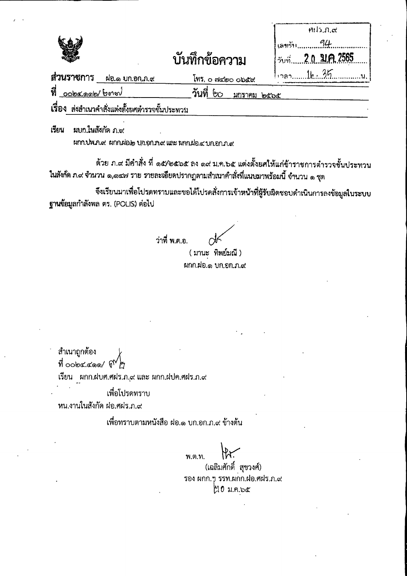## บันทึกข้อความ

|               | H112, D, C         |
|---------------|--------------------|
|               |                    |
| าม            | วันที่ 20.31A.2565 |
| ಂರಿತದ         | $12821k \cdot 35$  |
| <u>มกราคม</u> | ಅಂದಿಕೆ             |

ส่วนราชการ ผ่อ.๑ บก.อก.ภ.๙ INS, o modero object **V** cobcoob/borou วันที่ ๒๐

เรื่อง ส่งสำเนวคำสั่งแต่งตั้งยศตำรวจชั้นประหวน

เรียน ผบกในสังกัดภาช

MM. UW. A. at MM. Who Union that we know who a union that

ด้วย ภ.๙ มีคำสั่ง ที่ ๑๕⁄๒๕๖๕ ถง ๑๙ ม.ค.๖๕ แต่งตั้งยศให้แก่ข้าราชการดำรวจชั้นประทวน ในสังกัด ภ.๙ จำนวน ๑,๑๔๗ ราย รายละเอียดปรากฏตามสำเนาคำสั่งที่แนบมาพร้อมนี้ จำนวน ๑ ชุด

จึงเรียนมาเพื่อโปรดทราบและขอได้โปรดสั่งการเจ้าหน้าที่ผู้รับผิดชอบดำเนินการลงข้อมูลในระบบ ฐานข้อมูลกำลังพล ตร. (POLIS) ต่อไป

ว่าที่ พ.ต.อ.

(มานะ ทิพย์มณี) ผกก.ฝอ.๑ บก.อก.ภ.๙

สำเนาถูกต้อง ที่ oobc.coo/  $\mathfrak{g}^{\mathsf{N}}$ ต

เรียน ผกก.ฝบศ.ศฝร.ภ.ุ๙ และ ผกก.ฝปค.ศฝร.ภ.๙

เพื่อโปรดทราบ

หน.งานในสังกัด ผ่อ.ศผ่ร.ภ.๙

เพื่อทราบตามหนังสือ ฝอ.๑ บก.อก.ภ.๙ ข้างต้น

พ.ต.ท.

(เฉลิมศักดิ์ สุขวงศ์) รอง ผกก.ๆ รรท.ผกก.ฝอ.ศฝร.ภ.๙  $M0$  ม.ค.๖๕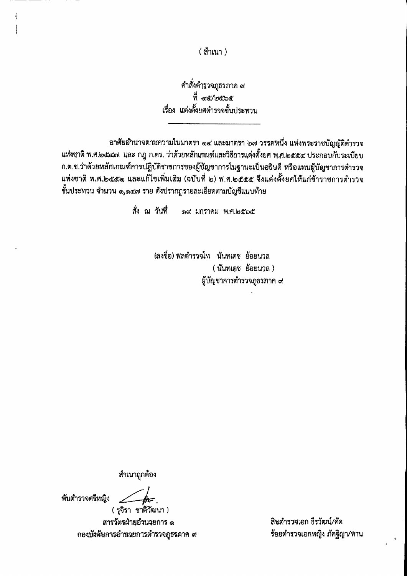(สำเนา)

คำสั่งตำรวจภูธรภาค ๙ ที่ ด๕⁄๒๕๖๕ เรื่อง แต่งตั้งยศตำรวจชั้นประทาน

อาศัยอำนาจตามความในมาตรา ๑๔ และมาตรา ๒๗ วรรคหนึ่ง แห่งพระราชบัญญัติตำรวจ แห่งชาติ พ.ศ.๒๕๔๗ และ กฎ ก.ตร. ว่าด้วยหลักเกณฑ์และวิธีการแต่งตั้งยศ พ.ศ.๒๕๕๔ ประกอบกับระเบียบ ก.ต.ช.ว่าด้วยหลักเกณฑ์การปฏิบัติราชการของผู้บัญชาการในฐานะเป็นอธิบดี หรือแทนผู้บัญชาการตำรวจ แห่งชาติ พ.ศ.๒๕๕๑ และแก้ไขเพิ่มเติม (ฉบับที่ ๒) พ.ศ.๒๕๕๕ จึงแต่งตั้งยศให้แก่ข้าราชการตำรวจ ชั้นประทวน จำนวน ๑,๑๔๗ ราย ดังปรากฏรายละเอียดตามบัญชีแนบท้าย

> สั่ง ณ วันที่ ด๙ มกราคม พ.ศ.๒๕๖๕

> > (ลงชื่อ) พลตำรวจโท นันทเดช ย้อยนวล ( นันทเดช ย้อยนวล ) ผู้บัญชาการตำรวจภูธรภาค ๙

สำเนาถูกต้อง

พันตำรวจตรีหญิง

 $\#$ ( รุจิรา ชาติวัฒนา ) สารวัตรฝ่ายอำนวยการ ๑ กองบังคับการอำนวยการตำรวจภูธรลาค ๙

สิบตำรวจเอก ธีรวัฒน์/คัด ร้อยตำรวจเอกหญิง ภัคฐิญา/ทาน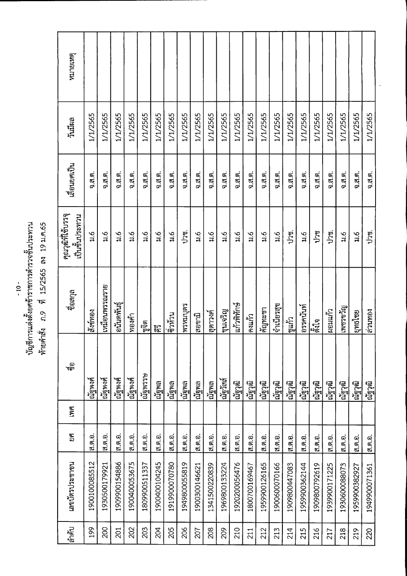## ่<br>บัญซีการแต่งตั้งยศข้าราชการตำรวจชั้นประทาน<br>ท้ายคำสั่ง ภ.9 ที่ 15/2565 ลง 19 ม.ค.65

| หมายเหตุ                             |               |                |                |                |                         |                |                |               |               |               |               |               |               |                    |                |               |                |                |               |               |               |               |
|--------------------------------------|---------------|----------------|----------------|----------------|-------------------------|----------------|----------------|---------------|---------------|---------------|---------------|---------------|---------------|--------------------|----------------|---------------|----------------|----------------|---------------|---------------|---------------|---------------|
| วันมีผล                              | 1/1/2565      | 1/1/2565       | 1/1/2565       | 1/1/2565       | 1/1/2565                | 1/1/2565       | 1/1/2565       | 1/1/2565      | 1/1/2565      | 1/1/2565      | 1/1/2565      | 1/1/2565      | 1/1/2565      | 1/1/2565           | 1/1/2565       | 1/1/2565      | 1/1/2565       | 1/1/2565       | 1/1/2565      | 1/1/2565      | 1/1/2565      | 1/1/2565      |
| เลือนยศเป็น                          | 0.7, 0.       | 0.7, 0.        | จ.ส.ต.         | $0.7.6$ .      | $0.7.6$ .               | $0.3.8$ .      | จ.ส.ต.         | จ.ส.ต.        | 0.7.9.        | $0.7.6$ .     | $0.7.9$ .     | $0.7.6$ .     | $0.5.6$ .     | $0.7.6$ .          | $0.5.6$ .      | $0.7.6$ .     | 0.75           | จ.ส.ต.         | $0.3.6$ .     | 0.7.0.        | จ.ส.ต.        | $0.7.9$ .     |
| คุณวุฒิที่ใช้บรรจุ<br>เป็นชั้นประทวน | 3.6           | $\frac{6}{11}$ | $\frac{6}{11}$ | $\frac{6}{11}$ | $\frac{6}{5}$           | $\frac{6}{11}$ | $\frac{6}{11}$ | ปวช.          | 2.6           | $\ddot{u}$    | $\frac{6}{3}$ | a.i           | $\frac{6}{4}$ | $\frac{6}{11}$     | $\frac{6}{11}$ | ปวช.          | $\frac{6}{11}$ | ปวช            | ปาซ.          | $\frac{6}{5}$ | $\ddot{a}$    | ປາທ.          |
| ชื่อสกุล                             | สิงข์ทอง      | เหมือนพรรณราย  | อนันตพันธุ์    | ทองคำ          | <mark>ା</mark> ଙ୍ଗ<br>ଆ | 尼              | ∣ติทำน         | พรหมบุตร      | สอขามิ        | โสตาวงค์      | ไขนเจริญ      | แก้วพิทักษ์   | คงแก้ว        | คัญทะชา            | งำเนียรสุข     | เชแก้ว        | อรรคนันท์      | ្ធ្វឹ<br>ត្តវិ | เหอมแก้ว      | เพชรงวัญ      | ยุทธไชย       | เอนนายง       |
| ್ಳ<br>ಇ೯                             | ณัฐพงศ์       | ณัฐพงศ์        | ณัฐพงศ์        | ณัฐพงศ์        | นัฐพรรษ                 | ณัฐพล          | ณ์ฐพล          | ณัฐพล         | ็ณฐพล         | เณัฐพล        | ไกรใสส์       | ณ์รวุฒิ       | ณ์ฐาฒิ        | นัฐวุฒิ<br>เม็กวัน | ณ์ฐาฒิ         | ณัฐวุฒิ       | ณัฐวุฒิ        | ณ์ฐาฒิ         | ณ์ราฒิ        | ณ์ราฒิ        | ใน้ราฒิ       | นัฐวัฒ        |
| <b>LYNE</b>                          |               |                |                |                |                         |                |                |               |               |               |               |               |               |                    |                |               |                |                |               |               |               |               |
| 9R)                                  | ส.ต.อ.        | ส.ต.อ.         | ีส.ต.อ.        | ส.ต.อ.         | ส.ต.อ.                  | ส.ต.อ.         | ส.ต.อ.         | ส.ต.อ.        | ส.ต.อ.        | ส.ต.อ.        | ส.ต.อ.        | ส.ต.อ.        | ส.ต.อ.        | ส.ต.อ.             | ส.ต.อ.         | ส.ต.อ.        | ส.ต.อ.         | <b>ส.ต.อ.</b>  | ส.ต.อ.        | ส.ต.อ.        | ส.ต.อ.        | ส.ต.อ.        |
| เลขบัตรประชาชน                       | 1900100085512 | 1930500179921  | 1909900154886  | 1900400053675  | 1809900511337           | 1900400104245  | 1919900070780  | 1949800055819 | 1900300146621 | 1341500220839 | 1969800133224 | 1920200056476 | 1800700169467 | 1959900126165      | 1900600070166  | 1909800447083 | 1959900362144  | 1909800792619  | 1939900171225 | 1930600088073 | 1959900382927 | 1949900071361 |
| ี ตำดับ                              | 199           | 200            | 201            | 202            | 203                     | 204            | 205            | 206           | 207           | 208           | 209           | 210           | 211           | 212                | 213            | 214           | 215            | 216            | 217           | 218           | 219           | 220           |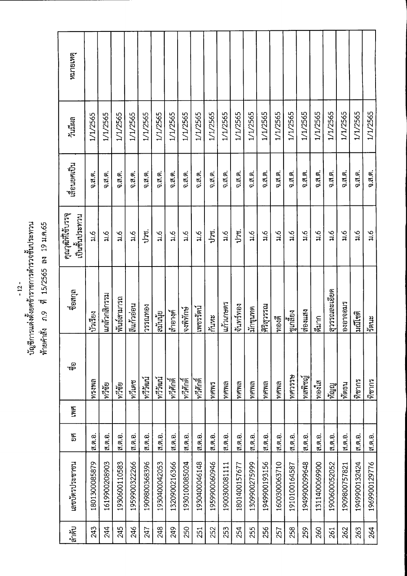| นาน                                  |              |
|--------------------------------------|--------------|
|                                      | as 19 a.e.65 |
|                                      |              |
|                                      | 15/2565      |
|                                      |              |
|                                      | ೱ            |
|                                      |              |
| ญชีการแต่งตั้งยศข้าราชการตำรวจชั้นป′ | ายคาสัง      |
|                                      |              |

| หมายเหตุ                            |               |                |                  |                |                |               |                |                |                |               |                |               |                |               |                |                |               |                     |                |               |                |                |
|-------------------------------------|---------------|----------------|------------------|----------------|----------------|---------------|----------------|----------------|----------------|---------------|----------------|---------------|----------------|---------------|----------------|----------------|---------------|---------------------|----------------|---------------|----------------|----------------|
| วันมีผล                             | 1/1/2565      | 1/1/2565       | 1/1/2565         | 1/1/2565       | 1/1/2565       | 1/1/2565      | 1/1/2565       | 1/1/2565       | 1/1/2565       | 1/1/2565      | 1/1/2565       | 1/1/2565      | 1/1/2565       | 1/1/2565      | 1/1/2565       | 1/1/2565       | 1/1/2565      | 1/1/2565            | 1/1/2565       | 1/1/2565      | 1/1/2565       | 1/1/2565       |
| เลื่อนยศเป็น                        | จ.ส.ต.        | จ.ส.ต.         | จ.ส.ต.           | จ.ส.ต.         | จ.ส.ต.         | 0.7.9.        | จ.ส.ต.         | 0.7.9.         | 9.7.7          | จ.ส.ต.        | จ.ส.ต.         | จ.ส.ต.        | จ.ส.ต.         | จ.ส.ต.        | $9.7.9$ .      | $0.7.9$ .      | จ.ส.ต.        | จ.ส.ต.              | จ.ส.ต.         | จ.ส.ต.        | 0.3.9.         | จ.ส.ต.         |
| คุณวุฒิที่ใช้บรรจุ<br>เป็นขันประทวน | $\ddot{a}$    | $\frac{6}{11}$ | $a.\overline{b}$ | $\frac{6}{11}$ | ปาซ.           | $\ddot{a}$    | $\frac{6}{11}$ | $\frac{6}{11}$ | $\frac{6}{11}$ | ปวช.          | $\frac{6}{11}$ | ປາຫູ.         | $\frac{6}{11}$ | $\frac{6}{7}$ | $\frac{6}{11}$ | $\frac{6}{11}$ | $\ddot{a}$    | $\ddot{a}$          | $\frac{6}{11}$ | $\ddot{a}$    | $\frac{6}{11}$ | $\frac{6}{11}$ |
| ชื่อสกุล                            | ไบ๊วเรียง     | แกล้วกลิกรรม   | พันธ์สามารถ      | สีแก้วอ่อน     | <b>PGMN955</b> | สมนัย         | ไสำอางุค์      | จงพิทักษ์      | เพชรรดน์       | กันหะ         | แก้วเกษตร      | จันทร์ทอง     | ไม้กขุนทด      | ศิริสุวรรณ    | ้ทองดี         | ซูเกลียง<br>   | สองแสง        | <mark>ด</mark> ีมาก | ศุวรรณละเอียด  | องอาจอมร      | มณีชดิ         | เร็ตนะ         |
| ತಿ                                  | ทรงพล         | ทวีซัย         | ทวีซัย           | ทวีเดช         | ทวีวัฒน์       | ไนต์วัฒน์     | ∣ทวีศักดิ์     | ทวิศักดิ์<br>พ | ∣ทวีศักดิ์     | mmm           | ทศพล           | ทศพล          | ทศพล           | ทศพล          | ทศพล           | ALSCAN         | พสพิชญ์<br>!  | ทองใส               | ทัญญ<br>"      | ทิตธน         | ใทิชากร        | ใทิชากร        |
| <b>LWA</b>                          |               |                |                  |                |                |               |                |                |                |               |                |               |                |               |                |                |               |                     |                |               |                |                |
| EN<br>E                             | ส.ต.อ.        | ส.ต.อ.         | ส.ต.อ.           | ส.ต.อ.         | ส.ต.อ.         | ส.ต.อ.        | ส.ต.อ.         | ส.ต.อ.         | ส.ต.อ.         | ส ต.อ.        | ส.ต.อ.         | ส.ต.อ.        | ส.ต.อ.         | ส.ต.อ.        | เส.ต.อ.        | ิส.ต.อ.        | ส.ต.อ.        | ส.ต.อ.              | ส.ต.อ.         | ส.ต.อ.        | ส.ต.อ.         | ส.ต.อ.         |
| เลขบัตรประชาชน                      | 1801300085879 | 1619900208903  | 1930600110583    | 1959900322266  | 1909800368396  | 1930400042053 | 1320900216366  | 1930100085024  | 1930400046148  | 1959900060946 | 1900300081111  | 1801400157677 | 1309900275999  | 1949900193156 | 1600300063710  | 1910100164587  | 1949900099648 | 1311400069900       | 1900600052052  | 1909800757821 | 1949900132424  | 1969900129776  |
| ิตัด<br>ด้าตับ                      | 243           | 244            | 245              | 246            | 247            | 248           | 249            | 250            | 251            | 252           | 253            | 254           | 255            | 256           | 257            | 258            | 259           | 260                 | 261            | 262           | 263            | 264            |

 $-12-$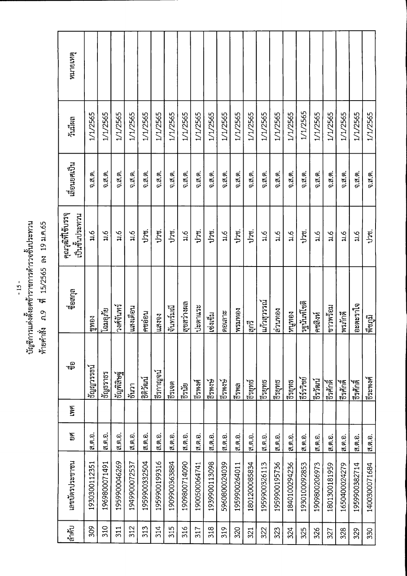ี่<br>บัญชีการแต่งตั้งยศข้าราชการตำรวจชั้นประทวน<br>ท้ายคำสั่ง ภ.9 ที่ 15/2565 ลง 19 ม.ค.65

| ลำดับ | เลขบัตรประชาชน | 9A            | ING | ್ಥಾ            | ี่<br>ชื่อสกุล | คุณวุฒิที่ใช้บรรจุ        | เลือนยศเป็น        | วันมีผล  | หมายเหตุ |
|-------|----------------|---------------|-----|----------------|----------------|---------------------------|--------------------|----------|----------|
|       |                |               |     |                |                | เป็นชั้นประทาน            |                    |          |          |
| 309   | 1930300112351  | ส.ต.อ.        |     | ទ័ល្លព្រះរាចារ | เขทอง          | $\overline{\mathfrak{u}}$ | $0.7.9$ .          | 1/1/2565 |          |
| 310   | 1969800071491  | <b>ส.ต.อ.</b> |     | เริญธราธร      | โฉมอุภัย       | $\ddot{a}$                | 0.7.9.             | 1/1/2565 |          |
| 311   | 1959900046269  | ส.ต.อ.        |     | ริกันยินก็     | วงศ์จันทร์     | $\frac{6}{11}$            | 0.3.9.             | 1/1/2565 |          |
| 312   | 1949900072537  | ส.ต.อ.        |     | ธินวา          | แสงเด็อน       | $\frac{6}{11}$            | $0.7.9$ .          | 1/1/2565 |          |
| 313   | 1959900332504  | ส.ต.อ.        |     | เหตุเลริ       | คชอ่อน         | ປາສ.                      | จ.ส.ต.             | 1/1/2565 |          |
| 314   | 1959900199316  | ส.ต.อ.        |     | ไรีรกาญจน์     | นสงจง          | ປາສຸ.                     | $9.5.6$ .          | 1/1/2565 |          |
| 315   | 1909900363884  | ส.ต.อ.        |     | เดงย์          | จันทร์มณี      | ปวช.                      | 0.79.              | 1/1/2565 |          |
| 316   | 1909800714090  | ส.ต.อ.        |     | เริง<br>อินย   | สุขสว่างผล     | $\frac{6}{11}$            | $0.7.9$ .          | 1/1/2565 |          |
| 317   | 1900500064741  | ส.ต.อ.        |     | ธีรพงศ์        | ปะตาแระ        | ปวช.                      | $0.76$ .           | 1/1/2565 |          |
| 318   | 1939900113098  | ส.ต.อ.        |     | ริพงษ์         | เซ่งเข็ม       | 127                       | จ.ส.ต.             | 1/1/2565 |          |
| 319   | 5960800024039  | ส.ต.อ.        |     | BENJE          | ดอเลาะ         | $\frac{6}{5}$             | จ.ส.ต.             | 1/1/2565 |          |
| 320   | 1959900264011  | ส.ต.อ.        |     | ธีรพล          | <b>ManutsM</b> | ປາຫູ.                     | จ.ส.ต.             | 1/1/2565 |          |
| 321   | 1801200085834  | ส.ต.อ.        |     | เอรยุทธ์       | ริบย์          | ປາຫູ່.                    | จ.ส.ต.             | 1/1/2565 |          |
| 322   | 1959900326113  | ส.ต.อ.        |     | ธีรยุทธ        | นกำสุวรรณ์     | $\frac{6}{11}$            | 0.3.6.             | 1/1/2565 |          |
| 323   | 1959900195736  | ส.ต.อ.        |     | เจีรยุทธ       | ค่านทอง        | $\frac{6}{10}$            | 0.3.9.             | 1/1/2565 |          |
| 324   | 1840100294236  | ส.ต.อ.        |     | เจีรยุทธ       | เอนนิน         | $\frac{6}{11}$            | จ.ส.ต.             | 1/1/2565 |          |
| 325   | 1930100092853  | ส.ต.อ.        |     | เริงว่าชย์     | รฐนันท์โซติ    | ปวช.                      | จ.ส.ต.             | 1/1/2565 |          |
| 326   | 1909800206973  | ส.ต.อ.        |     | โธรวัฒน์       | คชสิงท์        | $\frac{6}{11}$            | จ.ส.ต.             | 1/1/2565 |          |
| 327   | 1801300181959  | ส.ต.อ.        |     | เดียรี         | ขาวพร้อม       | $\frac{6}{11}$            | จ.ส.ต.             | 1/1/2565 |          |
| 328   | 1650400024279  | ส.ต.อ.        |     | เดนเยร         | ∣พรภักดี       | $\frac{6}{3}$             | $0.7.6$ .          | 1/1/2565 |          |
| 329   | 1959900382714  | ส.ต.อ.        |     | เดิรศักดิ์     | อะตะราใจ       | $\ddot{a}$                | $0.7.6$ .          | 1/1/2565 |          |
| 330   | 1400300071684  | ส.ต.อ.        |     | เรีระพงศ์      | พืชภูมิ        | ງງສ.                      | $0.7, \emptyset$ . | 1/1/2565 |          |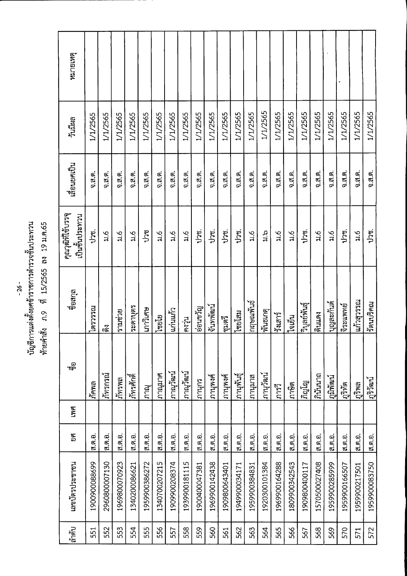- 26 -<br>บัญชีการแต่งตั้งยศข้าราชการตำรวจชั้นประทวน<br>ท้ายคำสั่ง ภ.9 ที่ 15/2565 ลง 19 ม.ค.65

| ลำดับ | เลขบัตรประชาชน | 9g     | <b>LWA</b> | ್ಳಾ                | ชื่อสกุล                      | คุณวุฒิที่ใช้บรรจุ<br>เป็นชั้นประทวน | เลื่อนยศเป็น | วันมีผล  | หมายเหตุ |
|-------|----------------|--------|------------|--------------------|-------------------------------|--------------------------------------|--------------|----------|----------|
| 551   | 1900900088699  | ส.ต.อ. |            | กัคพล              | ทรรรรณ                        | J26                                  | จ.ส.ต.       | 1/1/2565 |          |
| 552   | 2960800007130  | ส.ต.อ. |            | ภัทรกรณ์           | ៲៩៑                           | $\ddot{m}$                           | จ.ส.ต.       | 1/1/2565 |          |
| 553   | 1969800070923  | ส.ต.อ. |            | กัทรพล             | รามช่วย                       | $\frac{6}{11}$                       | จ.ส.ต.       | 1/1/2565 |          |
| 554   | 1340200086621  | ส.ต.อ. |            | ไก้ทรศักดิ์        | ระดาบุตร                      | $\frac{6}{11}$                       | จ.ส.ต.       | 1/1/2565 |          |
| 555   | 1959900386272  | ส.ต.อ. |            | ภาณุ               | เกาวิเศษ                      | ປາາ                                  | จ.ส.ต.       | 1/1/2565 |          |
| 556   | 1340700207215  | ส.ต.อ. |            | กาณุมาศ            | $\mathfrak{g}_{\mathfrak{g}}$ | $\frac{6}{11}$                       | จ.ส.ต.       | 1/1/2565 |          |
| 557   | 1909900208374  | ส.ต.อ. |            | ไภาณุวัฒน์         | ∣แก่นแก้ว                     | $\overline{\mathfrak{u}}$ .6         | จ.ส.ต.       | 1/1/2565 |          |
| 558   | 1939900181115  | ส.ต.อ. |            | <u>ไกา</u> ณวัฒน์  | คงวุ่น                        | $\frac{6}{11}$                       | จ.ส.ต.       | 1/1/2565 |          |
| 559   | 1900400047381  | ส.ต.อ. |            | ภานุกร             | อ่อนขวัญ                      | una.                                 | 0.7.9.       | 1/1/2565 |          |
| 560   | 1969900142438  | ส ต อ. |            | ภานุพงศ์           | จีนทพัฒน์                     | ປາທຸ.                                | 0.79.        | 1/1/2565 |          |
| 561   | 1909800643401  | ส.ต.อ. |            | ภานุพงศ์           | ซูมตรี                        | ປາຫູ.                                | $0.7.6$ .    | 1/1/2565 |          |
| 562   | 1949900034171  | ส.ต.อ. |            | ไกานุพันธุ์        | ไซยโสม                        | ປາທ.                                 | จ.ส.ต.       | 1/1/2565 |          |
| 563   | 1959900384831  | ส.ต.อ. |            | กานุมาส            | กฤษณพันธ์                     | $\frac{6}{11}$                       | จ.ส.ต.       | 1/1/2565 |          |
| 564   | 1920300101384  | ส.ต.อ. |            | ∣ภานุวัฒน์         | ทันธเกตุ                      | c<br>H                               | $0.7.9$ .    | 1/1/2565 |          |
| 565   | 1969900164288  | ส ต อ. |            | การวิ              | ริเยนร์                       | ू<br>भ                               | 9.7.6        | 1/1/2565 |          |
| 566   | 1809900342543  | ส.ต.อ. |            | ภาษิต              | ใจเย็น                        | $\frac{6}{11}$                       | $0.7.6$ .    | 1/1/2565 |          |
| 567   | 1909800400117  | ส.ต.อ. |            | ភិល្ហរិ            | วิบูลย์พันธุ์                 | ປາທ.                                 | จ.ส.ต.       | 1/1/2565 |          |
| 568   | 1570500027408  | ส.ต.อ. |            | ภินันนาถ           | ดินแดง                        | $\ddot{a}$                           | 0.7.9.       | 1/1/2565 |          |
| 569   | 1959900285999  | ส.ต.อ. |            | <u> [ภูมิพัฒน์</u> | ้านตละกันด้                   | $\frac{6}{3}$                        | $0.79$ .     | 1/1/2565 |          |
| 570   | 1959900166507  | ส.ต.อ. |            | ฏริทัต             | จิระแพทย์                     | ປາສຸ                                 | 0.7.9.       | 1/1/2565 |          |
| 571   | 1959900217501  | ส.ต.อ. |            | ฏริพล              | แก้วสุวรรณ                    | $\frac{6}{11}$                       | จ.ส.ต.       | 1/1/2565 |          |
| 572   | 1959900083750  | ส.ต.อ. |            | ไฏริวัฒน์          | วัตนบริคณ                     | ປາຫູ.                                | $0.7.9$ .    | 1/1/2565 |          |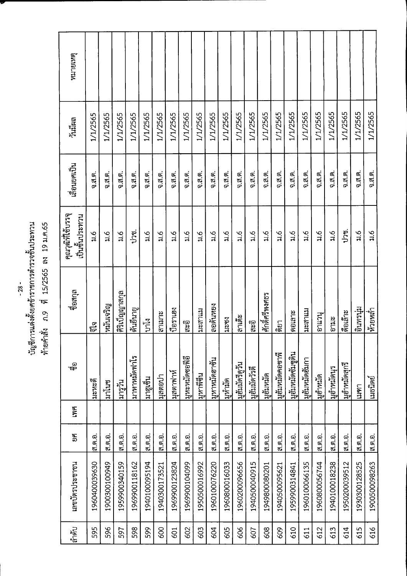## บัญชีการแต่งตั้งยศข้าราชการตำรวจชั้นประทวน<br>ท้ายคำสั่ง ภ.9 ที่ 15/2565 ลง 19 ม.ค.65

| หมายเหตุ                             |                       |                |                |               |                  |                |                |                      |                        |                |                |                |                |                |                 |                   |                |                |                |               |                           |               |
|--------------------------------------|-----------------------|----------------|----------------|---------------|------------------|----------------|----------------|----------------------|------------------------|----------------|----------------|----------------|----------------|----------------|-----------------|-------------------|----------------|----------------|----------------|---------------|---------------------------|---------------|
| วันมีผล                              | 1/1/2565              | 1/1/2565       | 1/1/2565       | 1/1/2565      | 1/1/2565         | 1/1/2565       | 1/1/2565       | 1/1/2565             | 1/1/2565               | 1/1/2565       | 1/1/2565       | 1/1/2565       | 1/1/2565       | 1/1/2565       | 1/1/2565        | 1/1/2565          | 1/1/2565       | 1/1/2565       | 1/1/2565       | 1/1/2565      | 1/1/2565                  | 1/1/2565      |
| เลือนยศเป็น                          | $9.7.9$ .             | $9.7.6$ .      | จ.ส.ต.         | 9.77          | $0.7.9$ .        | $0.3.9$ .      | จ.ส.ต.         | จ.ส.ต.               | จ.ส.ต.                 | จ.ส.ต.         | $0.7.9$ .      | 9.7.6          | จ.ส.ต.         | จ.ส.ต.         | จ.ส.ต.          | 0.79.             | จ.ส.ต.         | จ.ส.ต.         | $0.7.9$ .      | 0.7.7.        | $9.7, 6.9$ .              | จ.ส.ต.        |
| คุณวุฒิที่ใช้บรรจุ<br>เป็นชั้นประทวน | $\frac{6}{3}$         | $\frac{6}{11}$ | $\frac{6}{3}$  | ປາຫູ.         | a.6              | $\frac{6}{11}$ | $\frac{6}{11}$ | $\frac{6}{1}$        | $\frac{6}{5}$          | $\frac{6}{11}$ | $\frac{6}{11}$ | $\frac{6}{10}$ | $\frac{6}{11}$ | $\frac{6}{5}$  | $\frac{6}{3}$   | $\frac{6}{7}$     | $\frac{6}{11}$ | $\frac{6}{11}$ | $\frac{6}{11}$ | ปาซ.          | $\overline{\mathfrak{u}}$ | 3.6           |
| ชื่อสกุล                             | <mark>្តិ</mark><br>ត | หมันเจริญ      | ศิริเบ็ญญาสกุล | ด้นยืนายู     | $\sum_{i=1}^{n}$ | สาเมาะ         | ป๋อราเฮง       | <mark>್ಟ್ರ</mark> ಿಂ | นะสาแม                 | ลอดันหยง       | มะซง           | ล้าเต๊ะ        | ತ್ತಿಜ್ಞ        | ศักดิ์ศรีพงศธร | ลิยา            | ดอเลาะ            | นะสาแม         | งาแวนุ         | ause           | ได็อเล๊าะ     | อินทรนุ่ม                 | ห้วยหลำ       |
| ್ಳ<br>ಇಕ್                            | ไมะหะดิ               | มาโนซ          | เบรวัน         | มาหาหมัดฟาโร  | เนิดต้น          | มุสตอปา        | มุสตาฟาท์      | มหะหมัดซอพีอี        | <mark>เ</mark> หาพิซีน | มูหาหมัดฮาซัน  | ไมูทำมัด       | มฮัมมัดรีดูวัน | มูฮัมมัดวัรดี  | มูฮัมหมัด      | มุฮัมหมัดคอชาพี | มูฮัมหมัดซัมชูดิน | มูฮัมหมัดฮัมกา | ไมูอำหมัด      | มูฮำหมัดนุร    | มูฮำหมัดสุกวี | 19917                     | เมธนิตย์      |
| <b>LYVE</b>                          |                       |                |                |               |                  |                |                |                      |                        |                |                |                |                |                |                 |                   |                |                |                |               |                           |               |
| EN<br>E                              | ส.ต.อ.                | ส.ต.อ.         | ส.ต.อ.         | ส.ศ.อ.        | ส.ต.อ.           | ส.ต.อ.         | ส.ต.อ.         | ส.ต.อ.               | ส.ต.อ.                 | ส.ต.อ.         | ส.ต.อ.         | ส.ต.อ.         | ส.ต.อ.         | ส.ต.อ.         | ส.ศ.อ.          | ส.ต.อ.            | ส.ต.อ.         | ส.ต.อ.         | ส.ต.อ.         | ส.ต.อ.        | ส.ต.อ.                    | ส.ต.อ.        |
| เลขบัตรประชาชน                       | 1960400039630         | 1900300100949  | 1959900340159  | 1969900118162 | 1940100095194    | 1940300173521  | 1969900123824  | 1969900104099        | 1950500016992          | 1960100076220  | 1960800016033  | 1960200096656  | 1940500040915  | 1949800080201  | 1940500095621   | 1959900314841     | 1960100066135  | 1960800056744  | 1940100018238  | 1950200039512 | 1930300128525             | 1900500098263 |
| ลำดับ                                | 595                   | 596            | 597            | 598           | 599              | 600            | 601            | 602                  | 603                    | 604            | 605            | 606            | 607            | 608            | 609             | 610               | 611            | 612            | 613            | 614           | 615                       | 616           |

 $-28 -$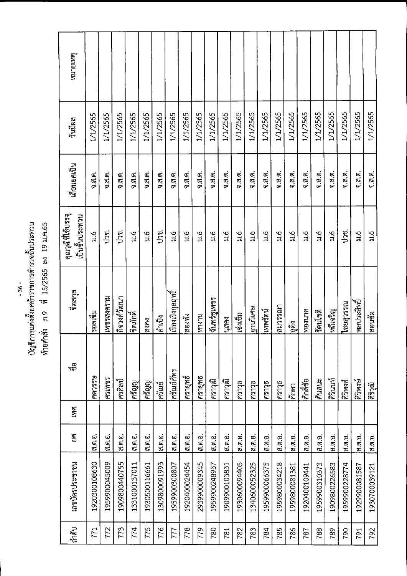บัญชีการแต่งตั้งยศข้าราชการตำรวจชั้นประทวน<br>ท้ายคำสั่ง ภ.9 ที่ 15/2565 ลง 19 ม.ค.65

| หมายเหตุ                             |                |               |               |               |               |               |                    |                |                |                |               |                |               |               |               |                       |                |                           |                 |               |                  |                |
|--------------------------------------|----------------|---------------|---------------|---------------|---------------|---------------|--------------------|----------------|----------------|----------------|---------------|----------------|---------------|---------------|---------------|-----------------------|----------------|---------------------------|-----------------|---------------|------------------|----------------|
| วันมีผล                              | 1/1/2565       | 1/1/2565      | 1/1/2565      | 1/1/2565      | 1/1/2565      | 1/1/2565      | 1/1/2565           | 1/1/2565       | 1/1/2565       | 1/1/2565       | 1/1/2565      | 1/1/2565       | 1/1/2565      | 1/1/2565      | 1/1/2565      | 1/1/2565              | 1/1/2565       | 1/1/2565                  | 1/1/2565        | 1/1/2565      | 1/1/2565         | 1/1/2565       |
| เลื่อนยศเป็น                         | $0.5.6$ .      | 0.7.9.        | 0.7, 0.       | จ.ส.ต.        | $0.76$ .      | จ.ส.ต.        | $0.7.6$ .          | จ.ส.ต.         | $0.7.9$ .      | 0.7.9.         | $0.8.8$ .     | จ.ส.ต.         | จ.ส.ต.        | จ.ส.ต.        | จ.ส.ต.        | 9.7.6                 | 0.7, 6.        | 0.7, 6.                   | 0.7.9.          | จ.ส.ต.        | จ.ส.ต.           | จ.ส.ต.         |
| คุณวุฒิที่ใช้บรรจุ<br>เป็นชั้นประทวน | 3.6            | ปวช.          | ปวช.          | 216           | $\frac{6}{3}$ | ปวช.          | $\frac{6}{76}$     | $\frac{6}{11}$ | $\frac{6}{11}$ | $\frac{6}{11}$ | $\frac{6}{3}$ | $\frac{6}{11}$ | $\frac{6}{5}$ | $\frac{6}{5}$ | $\frac{6}{4}$ | $\frac{6}{11}$        | $\frac{6}{11}$ | $\overline{\mathfrak{u}}$ | $\frac{6}{110}$ | ปวช.          | $\frac{6}{11}$   | $\frac{6}{10}$ |
| ซื้อสกุล                             | รอดเข็ม        | เพชรสงคราม    | กิจวงศ์วัฒนา  | ใจตุภักดิ์    | สงคง          | คำเป็ง        | เรื่องเริงกุลฤทธิ์ | สองพัง         | หางาน          | จันทร์ซูเพชร   | เปยก          | เช่งเข็ม       | ไฐานวิเศษ     | เทพรัตน์      | ตมารณา        | <u>ଜୁନ୍ମ</u><br>ଜୁନ୍ମ | ทองนาค         | รัตนโชติ                  | หลีเจริญ        | นะระยังนุ     | พลประสิทธิ์<br>— | ีสอนชัด        |
| ್ಳಾ                                  | <b>ANDSCAP</b> | <b>ERMASH</b> | เศรศิลป์      | ้เครื่อง<br>- | ศรัญญ         | ศรัณย์        | ศรัณย์ภัทร         | ศรายุทธ์       | ศรายุทธ        | เศราวุฒิ       | เศราวุฒิ      | ศราวุธ         | ศราวุธ        | ศราวุธ        | ศราวุธ        | ศักดา                 | ้ศักดิ์ชัย     | ∣ศันสนะ                   | ศิรินนท์        | ศิริพงศ์      | ศิริพงษ์         | ศิริวุฒิ       |
| <b>LWA</b>                           |                |               |               |               |               |               |                    |                |                |                |               |                |               |               |               |                       |                |                           |                 |               |                  |                |
| 9A                                   | ส.ต.อ.         | ส.ต.อ.        | ส.ต.อ.        | ส.ต.อ.        | ส.ต.อ.        | ส.ต.อ.        | ส.ต.อ.             | ส.ต.อ.         | ส.ต.อ.         | ส.ต.อ.         | ส.ต.อ.        | ส.ต.อ.         | เส.ต.อ.       | ส.ต.อ.        | ส.ต.อ.        | ส.ต.อ.                | ส.ต.อ.         | ส.ต.อ.                    | ส.ต.อ.          | ส.ต.อ.        | ส.ต.อ.           | ส.ต.อ.         |
| เลขบัตรประชาชน                       | 1920300108630  | 1959900045009 | 1909800440755 | 1331000137011 | 1930500116661 | 1309800091993 | 1959900300807      | 1920400024454  | 2939900009345  | 1959900248937  | 1909900103831 | 1930600094405  | 1340600052325 | 1959900066375 | 1959800034218 | 1959800081381         | 1920400109441  | 1959900310373             | 1909800226583   | 1959900228774 | 1929900081587    | 1930700039121  |
| ลำดับ                                | 771            | 772           | 773           | 774           | 775           | 776           | 777                | 778            | 779            | 780            | 781           | 782            | 783           | 784           | 785           | 786                   | 787            | 788                       | 789             | 790           | 791              | 792            |

 $-36-$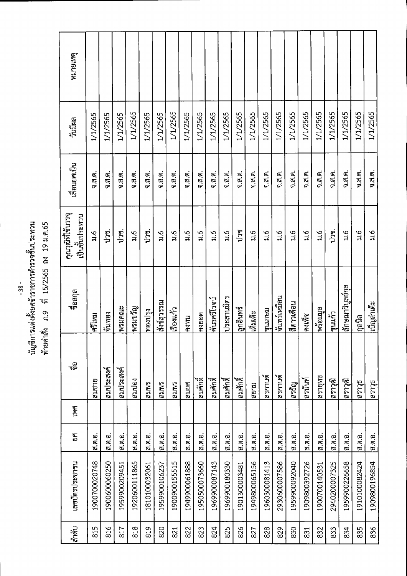## *V V* **vnaema n.9** vi **15/2565 su 19 jj.pi.65**

| หมายเหตุ                             |                |               |               |               |               |                |                |                |                |                |               |               |                |                |                |               |                |                |               |                  |                |                |
|--------------------------------------|----------------|---------------|---------------|---------------|---------------|----------------|----------------|----------------|----------------|----------------|---------------|---------------|----------------|----------------|----------------|---------------|----------------|----------------|---------------|------------------|----------------|----------------|
| วันมีผล                              | 1/1/2565       | 1/1/2565      | 1/1/2565      | 1/1/2565      | 1/1/2565      | 1/1/2565       | 1/1/2565       | 1/1/2565       | 1/1/2565       | 1/1/2565       | 1/1/2565      | 1/1/2565      | 1/1/2565       | 1/1/2565       | 1/1/2565       | 1/1/2565      | 1/1/2565       | 1/1/2565       | 1/1/2565      | 1/1/2565         | 1/1/2565       | 1/1/2565       |
| เลือนยศเป็น                          | 0.7.9.         | จ.ส.ต.        | 0.3.9.        | จ.ส.ต.        | $0.76$ .      | จ.ส.ต.         | จ.ส.ต.         | 0.7.9.         | $0.7.6$ .      | $0.7.6$ .      | 0.7.6         | จ.ส.ต.        | $0.75$ .       | $0.7.9$ .      | 0.7.9.         | 9.3.9.        | จ.ส.ต.         | จ.ส.ต.         | จ.ส.ต.        | จ.ส.ต.           | จ.ส.ต.         | จ.ส.ต.         |
| คุณวุฒิที่ใช้บรรจุ<br>เป็นชั้นประทวน | $\frac{6}{11}$ | ปวช.          | ปวช.          | ू<br>रू       | ປົາປຸ         | $\frac{6}{11}$ | $\frac{6}{11}$ | $\frac{6}{5}$  | $\frac{6}{11}$ | $\frac{6}{11}$ | $\frac{6}{3}$ | ปวช           | $\frac{6}{11}$ | $\frac{6}{11}$ | $\frac{6}{11}$ | $\frac{1}{2}$ | $\frac{6}{11}$ | $\frac{6}{11}$ | ງາຫຼ          | $\frac{6}{11}$   | $\frac{6}{11}$ | $\frac{6}{11}$ |
| ชื่อสกุล                             | ศรีไหม         | ใจ๊นทอง       | พรมคณะ        | พรนขวัญ       | ทองปรุง       | สังข์ศารรณ     | เรื่องแก้ว     | คงทน           | คงยอด          | ค้นธศรีโรจน์   | ประสานมิตร    | ไลูกอินทร์    | เต็มเต๊ะ       | ขุนเกษม        | จันทร์เหมือน   | สีดาวเดือน    | คงเพ็ช         | พร้อมมูล       | ขุนแก้ว       | ลักษณาวิบูลย์กุล | กุลนิล         | เบ็ญล่าเต๊ะ    |
| ್ಳ<br>ಇ೯                             | สมชาย          | สมประสงค์     | สมประสงค์     | สมปอง         | <b>SMITP</b>  | EMME           | <b>EMMER</b>   | สมยศ           | ี<br>สมศักดิ์  | ็สมศักดิ์<br>— | สมศักดิ์      | ี<br>สมศักดิ์ | สยาม           | ไสรกานต์       | สรกานด้        | สรธัญ         | ไสรนันท์       | สรายุทธ        | ดิราวุฒิ      | เติกราวุฒิ       | สิราวัธ        | สราวุธ         |
| <b>LWA</b>                           |                |               |               |               |               |                |                |                |                |                |               |               |                |                |                |               |                |                |               |                  |                |                |
| ยศ                                   | ส.ต.อ.         | ส.ต.อ.        | ส.ต.อ.        | ส.ต.อ.        | ส.ต.อ.        | ส.ต.อ.         | ส.ต.อ.         | <b>ส.ศ.</b> อ. | ส.ต.อ.         | ส.ต.อ.         | ส.ต.อ.        | ส.ต.อ.        | ส.ต.อ.         | ส.ต.อ.         | ส.ต.อ.         | ส.ต.อ.        | ส.ต.อ.         | ส.ต.อ.         | ส.ต.อ.        | ส.ต.อ.           | ส.ต.อ.         | ส.ต.อ.         |
| เลขบัตรประชาชน                       | 1900700020748  | 1900600060250 | 1959900209451 | 1920600111865 | 1810100032061 | 1959900106237  | 1900900155515  | 1949900061888  | 1950500073660  | 1969900087143  | 1969900180330 | 1901300003481 | 1949800065156  | 1960300081413  | 2930600007586  | 1959900092040 | 1909800392726  | 1900700140531  | 2940200007325 | 1959900226658    | 1910100082424  | 1909800196854  |
| สำคับ                                | 815            | 816           | 817           | 818           | 819           | 820            | 821            | 822            | 823            | 824            | 825           | 826           | 827            | 828            | 829            | 830           | 831            | 832            | 833           | 834              | 835            | 836            |

- **38**-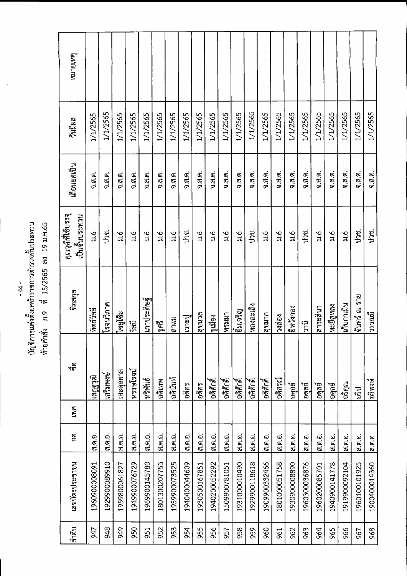่<br>บัญชีการแต่งตั้งยศข้าราชการตำรวจชั้นประทาน<br>ท้ายคำสั่ง ภ.9 ที่ 15/2565 ลง 19 ม.ค.65

| หมายเหตุ                             |                    |               |               |                |                |                |               |               |                |               |               |               |               |                |                           |                |               |                           |                |               |               |               |
|--------------------------------------|--------------------|---------------|---------------|----------------|----------------|----------------|---------------|---------------|----------------|---------------|---------------|---------------|---------------|----------------|---------------------------|----------------|---------------|---------------------------|----------------|---------------|---------------|---------------|
| วันมีผล                              | 1/1/2565           | 1/1/2565      | 1/1/2565      | 1/1/2565       | 1/1/2565       | 1/1/2565       | 1/1/2565      | 1/1/2565      | 1/1/2565       | 1/1/2565      | 1/1/2565      | 1/1/2565      | 1/1/2565      | 1/1/2565       | 1/1/2565                  | 1/1/2565       | 1/1/2565      | 1/1/2565                  | 1/1/2565       | 1/1/2565      | 1/1/2565      | 1/1/2565      |
| เลื่อนยศเป็น                         | $0.7, \emptyset$ . | จ.ส.ต.        | จ.ส.ต.        | $0.7.9$ .      | 0.75.6         | 0.7.9.         | $0.76$ .      | 0.7.9.        | $0.7.6$ .      | $0.76$ .      | $0.7.9$ .     | $0.7.6$ .     | 0.7, 6.       | จ.ส.ต.         | จ.ส.ต.                    | 9.7.9.         | จ.ส.ต.        | $0.76$ .                  | จ.ส.ต.         | จ.ส.ต.        | จ.ส.ต.        | จ.ส.ต.        |
| คุณวุฒิที่ใช้บรรจุ<br>เป็นขั้นประทวน | 3.6                | ປາຫ.          | $\frac{6}{4}$ | $\frac{6}{11}$ | $\frac{6}{11}$ | $\frac{6}{11}$ | $\frac{6}{7}$ | ປາທຸ          | $\frac{6}{11}$ | $\frac{6}{5}$ | $\frac{6}{1}$ | $\frac{6}{3}$ | ູງ<br>ປົງສູ   | $\frac{6}{11}$ | $\overline{\mathfrak{u}}$ | $\frac{6}{11}$ | ປາຫຸ          | $\overline{\mathfrak{u}}$ | $\frac{6}{11}$ | $\frac{6}{5}$ | ປາທຸ          | ປາສ.          |
| ชื่อสกุล                             | ทิตย์วัลลี         | โรจนวิภาค     | ไซยูโซ๊ะ      | ក្ដីក្ដី       | เกาประดิษฐ์    | ไซูศรี         | เสาแม         | เวะปู         | ลงนาล          | ซูเมือง<br>   | <b>MS1117</b> | ยิมเจริญ      | หลงละเลิง     | สุขมาก         | วงถอง                     | ยีหวังกอง      | โบวิ          | สาระสีนา                  | หะยีสูทลง      | เก็บกาเม็น    | จันทร์ ณ ราย  | ไมรรณมี       |
| ್ನ<br>ಇಕ್                            | เสกรวุฒิ           | เสริมพงษ์     | เสะดุลยาล     | หรรษโรจน์      | หริพนธ์        | อดิเทพ         | อดินันท์      | อดิศร         | อดิศร          | อดิศักด์      | อดิศักดิ์     | อดิศักดิ์     | อดิศักดิ์     | อดิศักด์       | ไวดิสรณ์                  | lอดูลย์        | langel        | ิเอดูลย์                  | langari        | อธิคุณ        | ີ້ຈະປ         | อธิพงษ์       |
| INA                                  |                    |               |               |                |                |                |               |               |                |               |               |               |               |                |                           |                |               |                           |                |               |               |               |
| EIGI                                 | ส.ต.อ.             | ส.ต.อ.        | ส.ต.อ.        | ส.ต.อ.         | ส.ต.อ.         | ส.ต.อ.         | ส.ต.อ.        | ส.ต.อ.        | ส.ต.อ.         | ส.ต.อ.        | ส.ต.อ.        | ส.ต.อ.        | ส.ต.อ.        | ส.ต.อ.         | ส.ต.อ.                    | ส.ต.อ.         | ส.ต.อ.        | ส.ต.อ.                    | ี ส.ต.อ.       | ส.ต.อ.        | ส.ต.อ.        | ิส.ต.อ        |
| เลขบัตรประชาชน                       | 1960900008091      | 1929900089910 | 1959800061827 | 1949900076729  | 1969900145780  | 1801300207753  | 1959900073525 | 1940400044609 | 1930500167851  | 1940200052292 | 1509900781051 | 1931000010490 | 1929900118618 | 1909900332466  | 1801000051758             | 193090008890   | 1960300036876 | 1960200085701             | 1940900141778  | 1919900092104 | 1960100101925 | 1900400014360 |
| ลำดับ                                | 547                | 948           | 949           | 950            | 951            | 952            | 953           | 954           | 955            | 956           | 957           | 958           | 959           | 960            | 961                       | 962            | 963           | 964                       | 965            | 966           | 967           | 968           |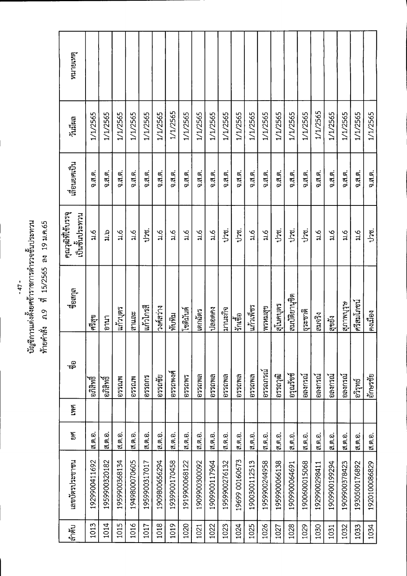บัญชีการแต่งตั้งยศข้าราชการตำรวจชั้นประทาน<br>ท้ายคำสั่ง ภ.9 ที่ 15/2565 ลง 19.ม.ค.65

| ล้ำดับ | เลขบัตรประชาชน | ยศ       | <b>LYNE</b> | ್ಣಾ            | ชื่อสกุล      | คุณวุฒิที่ใช้บรรจุ<br>เป็นชั้นประทวน | เลื่อนยศเป็น | วันมีผล  | หมายเหตุ |
|--------|----------------|----------|-------------|----------------|---------------|--------------------------------------|--------------|----------|----------|
| 1013   | 1929900411692  | ส.ต.อ.   |             | ้อกลิพธิ์      | ศริสุข        | $\frac{6}{11}$                       | $0.75$ .     | 1/1/2565 |          |
| 1014   | 1959900320182  | ส.ต.อ.   |             | ไอกิสิทธิ์     | กมา           | cs<br>Li                             | 0.79.        | 1/1/2565 |          |
| 1015   | 1959900368134  | ส.ต.อ.   |             | <b>Mrgssa</b>  | ในกัวบุตร     | $\frac{6}{11}$                       | 0.3.9.       | 1/1/2565 |          |
| 1016   | 1949800070605  | ส.ต.อ.   |             | <b>MM3509</b>  | สาและ         | $\frac{6}{5}$                        | 0.7.8        | 1/1/2565 |          |
| 1017   | 1959900317017  | ี ส.ต.อ. |             | 075007         | ไแก้วไกรสื    | ປາຫູ່.                               | จ.ส.ค.       | 1/1/2565 |          |
| 1018   | 1909800656294  | ิส ต.อ.  |             | อรรถชัย        | วงศ์สว่าง     | $\frac{6}{14}$                       | $0.7.6$ .    | 1/1/2565 |          |
| 1019   | 1939900170458  | ส.ต.อ.   |             | อรรถพงศ์       | ทับทิม        | ್ಕ<br>ಸ                              | $9.7.6$ .    | 1/1/2565 |          |
| 1020   | 1919900068122  | ส.ต.อ.   |             | <b>B220M2</b>  | โซดิมันด์     | $\frac{6}{11}$                       | จ.ส.ต.       | 1/1/2565 |          |
| 1021   | 1909900300092  | ส.ต.อ.   |             | <b>0750WR</b>  | เตกฉัตร       | $\frac{6}{11}$                       | จ.ส.ต.       | 1/1/2565 |          |
| 1022   | 1909900117964  | ส.ต.อ.   |             | <b>BAJDS20</b> | ปลอดคง        | $\frac{6}{11}$                       | $0.5.6$ .    | 1/1/2565 |          |
| 1023   | 1959900276132  | ส.ต.อ.   |             | อรรถพล         | มานะกิจ       | ปาช.                                 | จ.ส.ต.       | 1/1/2565 |          |
| 1024   | 19699 00160673 | ส.ต.อ.   |             | <b>BAUSSG</b>  | เร็กเชื้อ     | ປາຫູ.                                | จ.ส.ต.       | 1/1/2565 |          |
| 1025   | 1900300112513  | ส.ต.อ.   |             | <b>BAJ250</b>  | แก้วเพีชร     | $\frac{6}{11}$                       | จ.ส.ต.       | 1/1/2565 |          |
| 1026   | 1959900244958  | ส.ต.อ.   |             | อรรถภรณ์       | พรหมสุข       | $\frac{6}{11}$                       | $9.5.6$ .    | 1/1/2565 |          |
| 1027   | 1959900066138  | ส.ต.อ.   |             | เอรรถวุฒิ      | ไสโนคบุตร     | ປາທ.                                 | $0.5.6$ .    | 1/1/2565 |          |
| 1028   | 1909900064691  | ส ต อ.   |             | ไอรุณรัชช์     | สมบัติยานุชิต | ปวช.                                 | $0.7.8$ .    | 1/1/2565 |          |
| 1029   | 1900600015068  | ส.ต.อ.   |             | ไอลงกรณ์       | ธุระชาติ      | unu.                                 | 0.7          | 1/1/2565 |          |
| 1030   | 1929900298411  | ส.ต.อ.   |             | อลงกรณ์        | สมจริง        | $\frac{6}{7}$                        | จ.ส.ต.       | 1/1/2565 |          |
| 1031   | 1909900199294  | ส.ต.อ.   |             | ไอลงกรณ์       | ี<br>สูขยัง   | $\frac{6}{11}$                       | จ.ส.ต.       | 1/1/2565 |          |
| 1032   | 1909900378423  | ส.ต.อ.   |             | อลงกรณ์        | อุบทบริษ      | $\frac{6}{11}$                       | จ.ส.ต.       | 1/1/2565 |          |
| 1033   | 1930500176892  | ส ต.อ.   |             | อวิรุทธ์       | ศรีสมโภชน์    | $\overline{\mathfrak{u}}$            | $9.7.9$ .    | 1/1/2565 |          |
| 1034   | 1920100086829  | ส.ต.อ.   |             | อักษรชัย       | คงเมือง       | ປາຫູ່.                               | 9.7.9.       | 1/1/2565 |          |